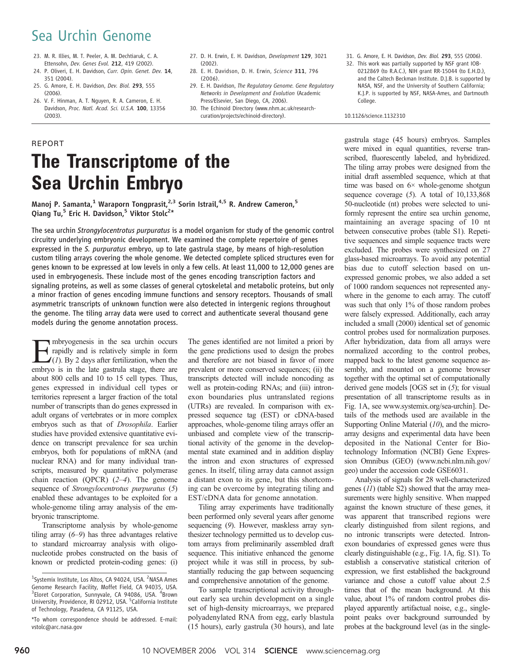## Sea Urchin Genome

- 23. M. R. Illies, M. T. Peeler, A. M. Dechtiaruk, C. A. Ettensohn, Dev. Genes Evol. 212, 419 (2002).
- 24. P. Oliveri, E. H. Davidson, Curr. Opin. Genet. Dev. 14, 351 (2004).
- 25. G. Amore, E. H. Davidson, Dev. Biol. 293, 555 (2006).
- 26. V. F. Hinman, A. T. Nguyen, R. A. Cameron, E. H. Davidson, Proc. Natl. Acad. Sci. U.S.A. 100, 13356 (2003).
- 27. D. H. Erwin, E. H. Davidson, Development 129, 3021 (2002).
- 28. E. H. Davidson, D. H. Erwin, Science 311, 796  $(2006)$
- 29. E. H. Davidson, The Regulatory Genome. Gene Regulatory Networks in Development and Evolution (Academic Press/Elsevier, San Diego, CA, 2006).
- 30. The Echinoid Directory (www.nhm.ac.uk/researchcuration/projects/echinoid-directory).
- 31. G. Amore, E. H. Davidson, Dev. Biol. 293, 555 (2006).
- 32. This work was partially supported by NSF grant IOB-0212869 (to R.A.C.), NIH grant RR-15044 (to E.H.D.), and the Caltech Beckman Institute. D.J.B. is supported by NASA, NSF, and the University of Southern California; K.J.P. is supported by NSF, NASA-Ames, and Dartmouth College.

10.1126/science.1132310

# REPORT The Transcriptome of the Sea Urchin Embryo

Manoj P. Samanta,<sup>1</sup> Waraporn Tongprasit,<sup>2,3</sup> Sorin Istrail,<sup>4,5</sup> R. Andrew Cameron,<sup>5</sup> Qiang Tu<sub>,</sub><sup>5</sup> Eric H. Davidson,<sup>5</sup> Viktor Stolc<sup>2\*</sup>

The sea urchin Strongylocentrotus purpuratus is a model organism for study of the genomic control circuitry underlying embryonic development. We examined the complete repertoire of genes expressed in the S. purpuratus embryo, up to late gastrula stage, by means of high-resolution custom tiling arrays covering the whole genome. We detected complete spliced structures even for genes known to be expressed at low levels in only a few cells. At least 11,000 to 12,000 genes are used in embryogenesis. These include most of the genes encoding transcription factors and signaling proteins, as well as some classes of general cytoskeletal and metabolic proteins, but only a minor fraction of genes encoding immune functions and sensory receptors. Thousands of small asymmetric transcripts of unknown function were also detected in intergenic regions throughout the genome. The tiling array data were used to correct and authenticate several thousand gene models during the genome annotation process.

Embryogenesis in the sea urchin occurs rapidly and is relatively simple in form  $\angle$ (1). By 2 days after fertilization, when the embryo is in the late gastrula stage, there are about 800 cells and 10 to 15 cell types. Thus, genes expressed in individual cell types or territories represent a larger fraction of the total number of transcripts than do genes expressed in adult organs of vertebrates or in more complex embryos such as that of Drosophila. Earlier studies have provided extensive quantitative evidence on transcript prevalence for sea urchin embryos, both for populations of mRNA (and nuclear RNA) and for many individual transcripts, measured by quantitative polymerase chain reaction (QPCR)  $(2-4)$ . The genome sequence of *Strongylocentrotus purpuratus* (5) enabled these advantages to be exploited for a whole-genome tiling array analysis of the embryonic transcriptome.

Transcriptome analysis by whole-genome tiling array  $(6-9)$  has three advantages relative to standard microarray analysis with oligonucleotide probes constructed on the basis of known or predicted protein-coding genes: (i)

The genes identified are not limited a priori by the gene predictions used to design the probes and therefore are not biased in favor of more prevalent or more conserved sequences; (ii) the transcripts detected will include noncoding as well as protein-coding RNAs; and (iii) intronexon boundaries plus untranslated regions (UTRs) are revealed. In comparison with expressed sequence tag (EST) or cDNA-based approaches, whole-genome tiling arrays offer an unbiased and complete view of the transcriptional activity of the genome in the developmental state examined and in addition display the intron and exon structures of expressed genes. In itself, tiling array data cannot assign a distant exon to its gene, but this shortcoming can be overcome by integrating tiling and EST/cDNA data for genome annotation.

Tiling array experiments have traditionally been performed only several years after genome sequencing (9). However, maskless array synthesizer technology permitted us to develop custom arrays from preliminarily assembled draft sequence. This initiative enhanced the genome project while it was still in process, by substantially reducing the gap between sequencing and comprehensive annotation of the genome.

To sample transcriptional activity throughout early sea urchin development on a single set of high-density microarrays, we prepared polyadenylated RNA from egg, early blastula (15 hours), early gastrula (30 hours), and late

gastrula stage (45 hours) embryos. Samples were mixed in equal quantities, reverse transcribed, fluorescently labeled, and hybridized. The tiling array probes were designed from the initial draft assembled sequence, which at that time was based on 6× whole-genome shotgun sequence coverage  $(5)$ . A total of 10,133,868 50-nucleotide (nt) probes were selected to uniformly represent the entire sea urchin genome, maintaining an average spacing of 10 nt between consecutive probes (table S1). Repetitive sequences and simple sequence tracts were excluded. The probes were synthesized on 27 glass-based microarrays. To avoid any potential bias due to cutoff selection based on unexpressed genomic probes, we also added a set of 1000 random sequences not represented anywhere in the genome to each array. The cutoff was such that only 1% of those random probes were falsely expressed. Additionally, each array included a small (2000) identical set of genomic control probes used for normalization purposes. After hybridization, data from all arrays were normalized according to the control probes, mapped back to the latest genome sequence assembly, and mounted on a genome browser together with the optimal set of computationally derived gene models [OGS set in (5); for visual presentation of all transcriptome results as in Fig. 1A, see www.systemix.org/sea-urchin]. Details of the methods used are available in the Supporting Online Material  $(10)$ , and the microarray designs and experimental data have been deposited in the National Center for Biotechnology Information (NCBI) Gene Expression Omnibus (GEO) (www.ncbi.nlm.nih.gov/ geo) under the accession code GSE6031.

Analysis of signals for 28 well-characterized genes (11) (table S2) showed that the array measurements were highly sensitive. When mapped against the known structure of these genes, it was apparent that transcribed regions were clearly distinguished from silent regions, and no intronic transcripts were detected. Intronexon boundaries of expressed genes were thus clearly distinguishable (e.g., Fig. 1A, fig. S1). To establish a conservative statistical criterion of expression, we first established the background variance and chose a cutoff value about 2.5 times that of the mean background. At this value, about 1% of random control probes displayed apparently artifactual noise, e.g., singlepoint peaks over background surrounded by probes at the background level (as in the single-

<sup>&</sup>lt;sup>1</sup>Systemix Institute, Los Altos, CA 94024, USA. <sup>2</sup>NASA Ames Genome Research Facility, Moffet Field, CA 94035, USA. <sup>3</sup>Eloret Corporation, Sunnyvale, CA 94086, USA. <sup>4</sup>Brown University, Providence, RI 02912, USA. <sup>5</sup>California Institute of Technology, Pasadena, CA 91125, USA.

<sup>\*</sup>To whom correspondence should be addressed. E-mail: vstolc@arc.nasa.gov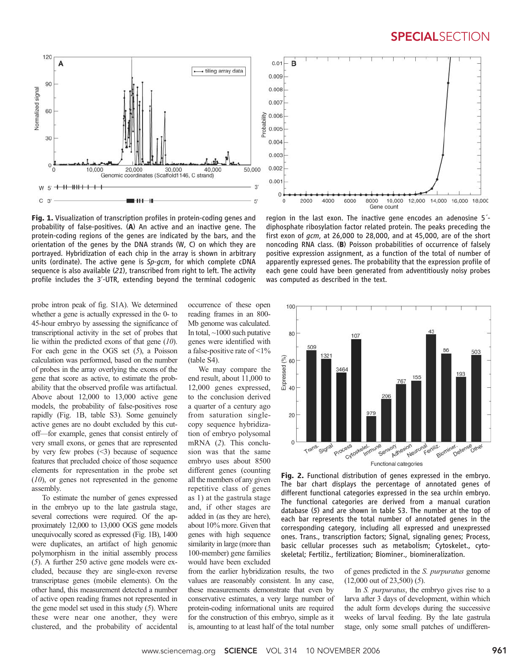### **SPECIALSECTION**

14,000 16,000 18,000



Fig. 1. Visualization of transcription profiles in protein-coding genes and probability of false-positives. (A) An active and an inactive gene. The protein-coding regions of the genes are indicated by the bars, and the orientation of the genes by the DNA strands (W, C) on which they are portrayed. Hybridization of each chip in the array is shown in arbitrary units (ordinate). The active gene is Sp-gcm, for which complete cDNA sequence is also available (21), transcribed from right to left. The activity profile includes the 3′-UTR, extending beyond the terminal codogenic

region in the last exon. The inactive gene encodes an adenosine 5´ diphosphate ribosylation factor related protein. The peaks preceding the first exon of gcm, at 26,000 to 28,000, and at 45,000, are of the short noncoding RNA class. (B) Poisson probabilities of occurrence of falsely positive expression assignment, as a function of the total of number of apparently expressed genes. The probability that the expression profile of each gene could have been generated from adventitiously noisy probes was computed as described in the text.

8000

Gene count

10,000 12,000

probe intron peak of fig. S1A). We determined whether a gene is actually expressed in the 0- to 45-hour embryo by assessing the significance of transcriptional activity in the set of probes that lie within the predicted exons of that gene  $(10)$ . For each gene in the OGS set  $(5)$ , a Poisson calculation was performed, based on the number of probes in the array overlying the exons of the gene that score as active, to estimate the probability that the observed profile was artifactual. Above about 12,000 to 13,000 active gene models, the probability of false-positives rose rapidly (Fig. 1B, table S3). Some genuinely active genes are no doubt excluded by this cutoff—for example, genes that consist entirely of very small exons, or genes that are represented by very few probes  $(\leq 3)$  because of sequence features that precluded choice of those sequence elements for representation in the probe set  $(10)$ , or genes not represented in the genome assembly.

To estimate the number of genes expressed in the embryo up to the late gastrula stage, several corrections were required. Of the approximately 12,000 to 13,000 OGS gene models unequivocally scored as expressed (Fig. 1B), 1400 were duplicates, an artifact of high genomic polymorphism in the initial assembly process (5). A further 250 active gene models were excluded, because they are single-exon reverse transcriptase genes (mobile elements). On the other hand, this measurement detected a number of active open reading frames not represented in the gene model set used in this study  $(5)$ . Where these were near one another, they were clustered, and the probability of accidental occurrence of these open reading frames in an 800- Mb genome was calculated. In total,  $\sim$ 1000 such putative genes were identified with a false-positive rate of <1% (table S4).

 $0.01 -$ B

 $\circ$ 

 $\Omega$ 

2000

4000

6000

We may compare the end result, about 11,000 to 12,000 genes expressed, to the conclusion derived a quarter of a century ago from saturation singlecopy sequence hybridization of embryo polysomal mRNA (2). This conclusion was that the same embryo uses about 8500 different genes (counting all the members of any given repetitive class of genes as 1) at the gastrula stage and, if other stages are added in (as they are here), about 10% more. Given that genes with high sequence similarity in large (more than 100-member) gene families would have been excluded

from the earlier hybridization results, the two values are reasonably consistent. In any case, these measurements demonstrate that even by conservative estimates, a very large number of protein-coding informational units are required for the construction of this embryo, simple as it is, amounting to at least half of the total number



Fig. 2. Functional distribution of genes expressed in the embryo. The bar chart displays the percentage of annotated genes of different functional categories expressed in the sea urchin embryo. The functional categories are derived from a manual curation database (5) and are shown in table S3. The number at the top of each bar represents the total number of annotated genes in the corresponding category, including all expressed and unexpressed ones. Trans., transcription factors; Signal, signaling genes; Process, basic cellular processes such as metabolism; Cytoskelet., cytoskeletal; Fertiliz., fertilization; Biominer., biomineralization.

of genes predicted in the S. purpuratus genome (12,000 out of 23,500) (5).

In S. purpuratus, the embryo gives rise to a larva after 3 days of development, within which the adult form develops during the successive weeks of larval feeding. By the late gastrula stage, only some small patches of undifferen-